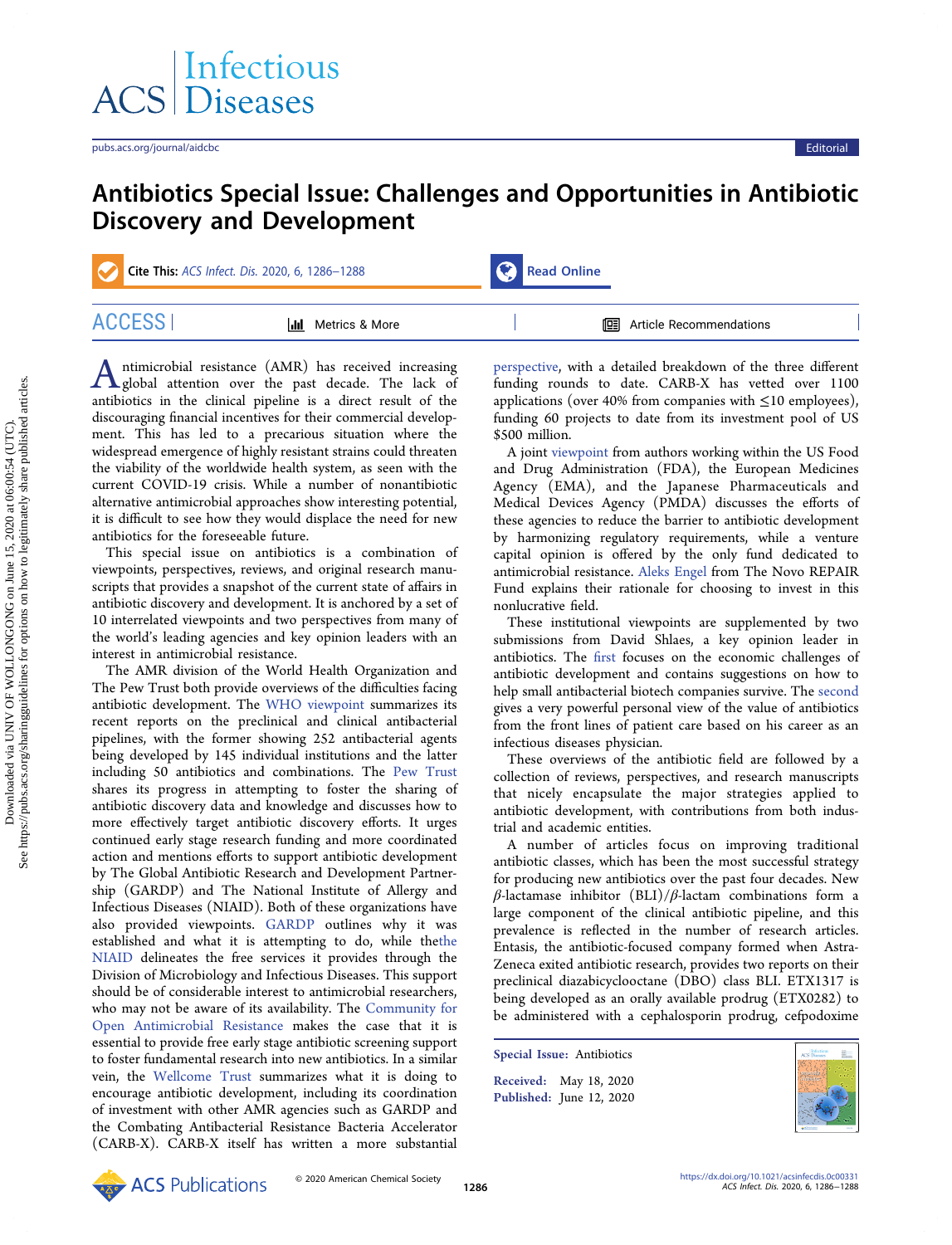## Antibiotics Special Issue: Challenges and Opportunities in Antibiotic Discovery and Development

| Cite This: ACS Infect. Dis. 2020, 6, 1286-1288 |                           | Read Online |                                  |  |
|------------------------------------------------|---------------------------|-------------|----------------------------------|--|
| ACCESS I                                       | <b>III</b> Metrics & More |             | <b>国</b> Article Recommendations |  |

Antimicrobial resistance (AMR) has received increasing<br>global attention over the past decade. The lack of antibiotics in the clinical pipeline is a direct result of the discouraging financial incentives for their commercial development. This has led to a precarious situation where the widespread emergence of highly resistant strains could threaten the viability of the worldwide health system, as seen with the current COVID-19 crisis. While a number of nonantibiotic alternative antimicrobial approaches show interesting potential, it is difficult to see how they would displace the need for new antibiotics for the foreseeable future.

This special issue on antibiotics is a combination of viewpoints, perspectives, reviews, and original research manuscripts that provides a snapshot of the current state of affairs in antibiotic discovery and development. It is anchored by a set of 10 interrelated viewpoints and two perspectives from many of the world's leading agencies and key opinion leaders with an interest in antimicrobial resistance.

The AMR division of the World Health Organization and The Pew Trust both provide overviews of the difficulties facing antibiotic development. The [WHO viewpoint](https://pubs.acs.org/doi/10.1021/acsinfecdis.0c00044) summarizes its recent reports on the preclinical and clinical antibacterial pipelines, with the former showing 252 antibacterial agents being developed by 145 individual institutions and the latter including 50 antibiotics and combinations. The [Pew Trust](https://pubs.acs.org/doi/10.1021/acsinfecdis.0c00100) shares its progress in attempting to foster the sharing of antibiotic discovery data and knowledge and discusses how to more effectively target antibiotic discovery efforts. It urges continued early stage research funding and more coordinated action and mentions efforts to support antibiotic development by The Global Antibiotic Research and Development Partnership (GARDP) and The National Institute of Allergy and Infectious Diseases (NIAID). Both of these organizations have also provided viewpoints. [GARDP](https://pubs.acs.org/doi/10.1021/acsinfecdis.0c00101) outlines why it was established and what it is attempting to do, while th[ethe](https://pubs.acs.org/doi/10.1021/acsinfecdis.0c00099) [NIAID](https://pubs.acs.org/doi/10.1021/acsinfecdis.0c00099) delineates the free services it provides through the Division of Microbiology and Infectious Diseases. This support should be of considerable interest to antimicrobial researchers, who may not be aware of its availability. The [Community for](https://pubs.acs.org/doi/10.1021/acsinfecdis.0c00163) [Open Antimicrobial Resistance](https://pubs.acs.org/doi/10.1021/acsinfecdis.0c00163) makes the case that it is essential to provide free early stage antibiotic screening support to foster fundamental research into new antibiotics. In a similar vein, the [Wellcome Trust](https://pubs.acs.org/doi/10.1021/acsinfecdis.0c00094) summarizes what it is doing to encourage antibiotic development, including its coordination of investment with other AMR agencies such as GARDP and the Combating Antibacterial Resistance Bacteria Accelerator (CARB-X). CARB-X itself has written a more substantial

[perspective](https://pubs.acs.org/doi/10.1021/acsinfecdis.0c00026), with a detailed breakdown of the three different funding rounds to date. CARB-X has vetted over 1100 applications (over 40% from companies with  $\leq$ 10 employees), funding 60 projects to date from its investment pool of US \$500 million.

A joint [viewpoint](https://pubs.acs.org/doi/10.1021/acsinfecdis.0c00270) from authors working within the US Food and Drug Administration (FDA), the European Medicines Agency (EMA), and the Japanese Pharmaceuticals and Medical Devices Agency (PMDA) discusses the efforts of these agencies to reduce the barrier to antibiotic development by harmonizing regulatory requirements, while a venture capital opinion is offered by the only fund dedicated to antimicrobial resistance. [Aleks Engel](https://pubs.acs.org/doi/10.1021/acsinfecdis.0c00069) from The Novo REPAIR Fund explains their rationale for choosing to invest in this nonlucrative field.

These institutional viewpoints are supplemented by two submissions from David Shlaes, a key opinion leader in antibiotics. The fi[rst](https://pubs.acs.org/doi/10.1021/acsinfecdis.0c00057) focuses on the economic challenges of antibiotic development and contains suggestions on how to help small antibacterial biotech companies survive. The [second](https://pubs.acs.org/doi/10.1021/acsinfecdis.0c00060) gives a very powerful personal view of the value of antibiotics from the front lines of patient care based on his career as an infectious diseases physician.

These overviews of the antibiotic field are followed by a collection of reviews, perspectives, and research manuscripts that nicely encapsulate the major strategies applied to antibiotic development, with contributions from both industrial and academic entities.

A number of articles focus on improving traditional antibiotic classes, which has been the most successful strategy for producing new antibiotics over the past four decades. New β-lactamase inhibitor (BLI)/β-lactam combinations form a large component of the clinical antibiotic pipeline, and this prevalence is reflected in the number of research articles. Entasis, the antibiotic-focused company formed when Astra-Zeneca exited antibiotic research, provides two reports on their preclinical diazabicyclooctane (DBO) class BLI. ETX1317 is being developed as an orally available prodrug (ETX0282) to be administered with a cephalosporin prodrug, cefpodoxime

Special Issue: [Antibiotics](https://pubs.acs.org/toc/aidcbc/6/6?ref=pdf) Received: May 18, 2020 Published: June 12, 2020

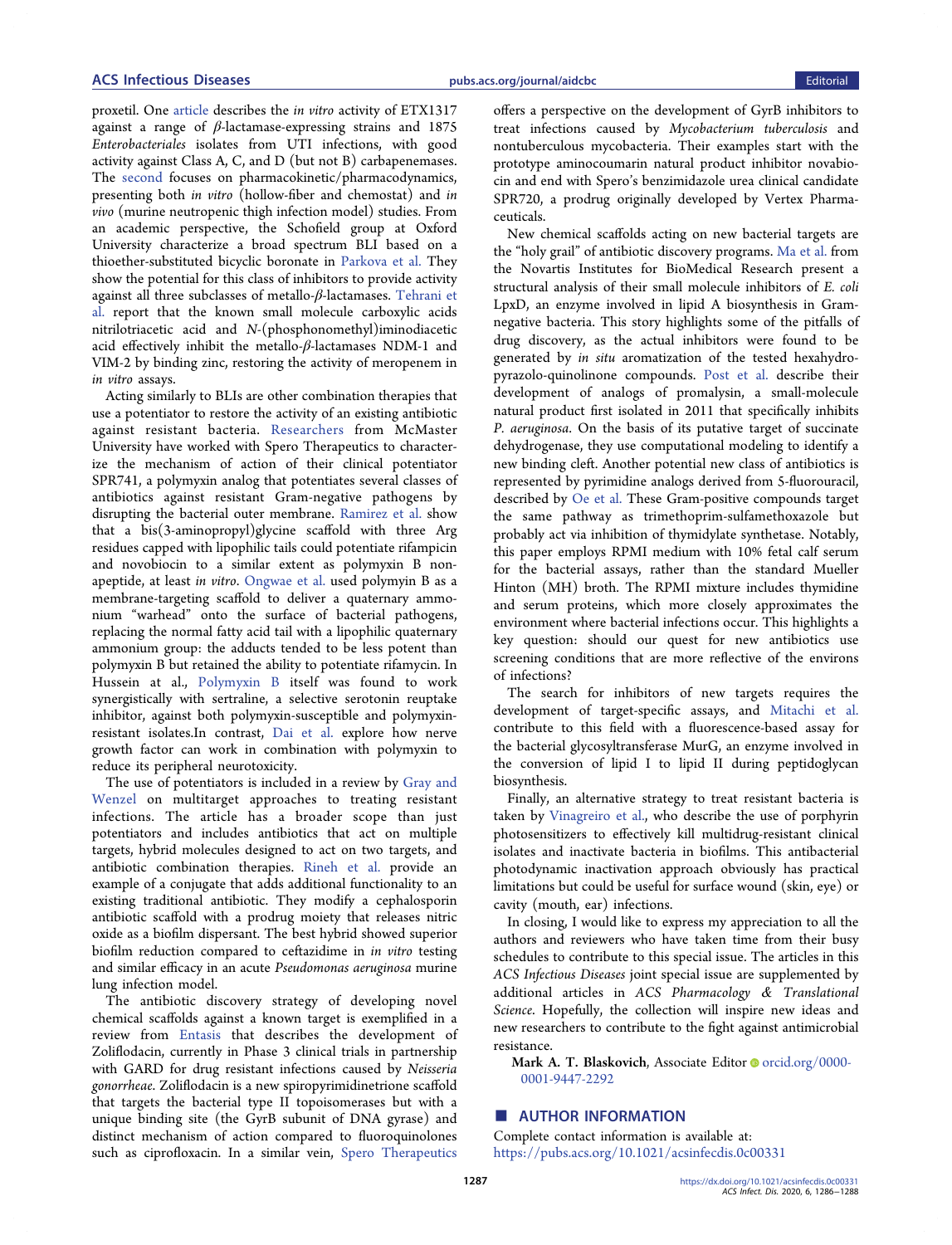proxetil. One [article](https://pubs.acs.org/doi/10.1021/acsinfecdis.0c00020) describes the in vitro activity of ETX1317 against a range of  $\beta$ -lactamase-expressing strains and 1875 Enterobacteriales isolates from UTI infections, with good activity against Class A, C, and D (but not B) carbapenemases. The [second](https://pubs.acs.org/doi/10.1021/acsinfecdis.0c00019) focuses on pharmacokinetic/pharmacodynamics, presenting both in vitro (hollow-fiber and chemostat) and in vivo (murine neutropenic thigh infection model) studies. From an academic perspective, the Schofield group at Oxford University characterize a broad spectrum BLI based on a thioether-substituted bicyclic boronate in [Parkova et al.](https://pubs.acs.org/doi/10.1021/acsinfecdis.9b00330) They show the potential for this class of inhibitors to provide activity against all three subclasses of metallo-β-lactamases. [Tehrani et](https://pubs.acs.org/doi/10.1021/acsinfecdis.9b00459) [al.](https://pubs.acs.org/doi/10.1021/acsinfecdis.9b00459) report that the known small molecule carboxylic acids nitrilotriacetic acid and N-(phosphonomethyl)iminodiacetic acid effectively inhibit the metallo-β-lactamases NDM-1 and VIM-2 by binding zinc, restoring the activity of meropenem in in vitro assays.

Acting similarly to BLIs are other combination therapies that use a potentiator to restore the activity of an existing antibiotic against resistant bacteria. [Researchers](https://pubs.acs.org/doi/10.1021/acsinfecdis.9b00159) from McMaster University have worked with Spero Therapeutics to characterize the mechanism of action of their clinical potentiator SPR741, a polymyxin analog that potentiates several classes of antibiotics against resistant Gram-negative pathogens by disrupting the bacterial outer membrane. [Ramirez et al.](https://pubs.acs.org/doi/10.1021/acsinfecdis.0c00017) show that a bis(3-aminopropyl)glycine scaffold with three Arg residues capped with lipophilic tails could potentiate rifampicin and novobiocin to a similar extent as polymyxin B nonapeptide, at least in vitro. [Ongwae et al.](https://pubs.acs.org/doi/10.1021/acsinfecdis.0c00037) used polymyin B as a membrane-targeting scaffold to deliver a quaternary ammonium "warhead" onto the surface of bacterial pathogens, replacing the normal fatty acid tail with a lipophilic quaternary ammonium group: the adducts tended to be less potent than polymyxin B but retained the ability to potentiate rifamycin. In Hussein at al., [Polymyxin B](https://pubs.acs.org/doi/10.1021/acsinfecdis.0c00108) itself was found to work synergistically with sertraline, a selective serotonin reuptake inhibitor, against both polymyxin-susceptible and polymyxinresistant isolates.In contrast, [Dai et al.](https://pubs.acs.org/doi/10.1021/acsinfecdis.0c00107) explore how nerve growth factor can work in combination with polymyxin to reduce its peripheral neurotoxicity.

The use of potentiators is included in a review by [Gray and](https://pubs.acs.org/doi/10.1021/acsinfecdis.0c00001) [Wenzel](https://pubs.acs.org/doi/10.1021/acsinfecdis.0c00001) on multitarget approaches to treating resistant infections. The article has a broader scope than just potentiators and includes antibiotics that act on multiple targets, hybrid molecules designed to act on two targets, and antibiotic combination therapies. [Rineh et al.](https://pubs.acs.org/doi/10.1021/acsinfecdis.0c00070) provide an example of a conjugate that adds additional functionality to an existing traditional antibiotic. They modify a cephalosporin antibiotic scaffold with a prodrug moiety that releases nitric oxide as a biofilm dispersant. The best hybrid showed superior biofilm reduction compared to ceftazidime in in vitro testing and similar efficacy in an acute Pseudomonas aeruginosa murine lung infection model.

The antibiotic discovery strategy of developing novel chemical scaffolds against a known target is exemplified in a review from [Entasis](https://pubs.acs.org/doi/10.1021/acsinfecdis.0c00021) that describes the development of Zoliflodacin, currently in Phase 3 clinical trials in partnership with GARD for drug resistant infections caused by Neisseria gonorrheae. Zoliflodacin is a new spiropyrimidinetrione scaffold that targets the bacterial type II topoisomerases but with a unique binding site (the GyrB subunit of DNA gyrase) and distinct mechanism of action compared to fluoroquinolones such as ciprofloxacin. In a similar vein, [Spero Therapeutics](https://pubs.acs.org/doi/10.1021/acsinfecdis.0c00025)

offers a perspective on the development of GyrB inhibitors to treat infections caused by Mycobacterium tuberculosis and nontuberculous mycobacteria. Their examples start with the prototype aminocoumarin natural product inhibitor novabiocin and end with Spero's benzimidazole urea clinical candidate SPR720, a prodrug originally developed by Vertex Pharmaceuticals.

New chemical scaffolds acting on new bacterial targets are the "holy grail" of antibiotic discovery programs. [Ma et al.](https://pubs.acs.org/doi/10.1021/acsinfecdis.9b00127) from the Novartis Institutes for BioMedical Research present a structural analysis of their small molecule inhibitors of E. coli LpxD, an enzyme involved in lipid A biosynthesis in Gramnegative bacteria. This story highlights some of the pitfalls of drug discovery, as the actual inhibitors were found to be generated by in situ aromatization of the tested hexahydropyrazolo-quinolinone compounds. [Post et al.](https://pubs.acs.org/doi/10.1021/acsinfecdis.0c00024) describe their development of analogs of promalysin, a small-molecule natural product first isolated in 2011 that specifically inhibits P. aeruginosa. On the basis of its putative target of succinate dehydrogenase, they use computational modeling to identify a new binding cleft. Another potential new class of antibiotics is represented by pyrimidine analogs derived from 5-fluorouracil, described by [Oe et al.](https://pubs.acs.org/doi/10.1021/acsinfecdis.9b00305) These Gram-positive compounds target the same pathway as trimethoprim-sulfamethoxazole but probably act via inhibition of thymidylate synthetase. Notably, this paper employs RPMI medium with 10% fetal calf serum for the bacterial assays, rather than the standard Mueller Hinton (MH) broth. The RPMI mixture includes thymidine and serum proteins, which more closely approximates the environment where bacterial infections occur. This highlights a key question: should our quest for new antibiotics use screening conditions that are more reflective of the environs of infections?

The search for inhibitors of new targets requires the development of target-specific assays, and [Mitachi et al.](https://pubs.acs.org/doi/10.1021/acsinfecdis.9b00242) contribute to this field with a fluorescence-based assay for the bacterial glycosyltransferase MurG, an enzyme involved in the conversion of lipid I to lipid II during peptidoglycan biosynthesis.

Finally, an alternative strategy to treat resistant bacteria is taken by [Vinagreiro et al.,](https://pubs.acs.org/doi/10.1021/acsinfecdis.9b00379) who describe the use of porphyrin photosensitizers to effectively kill multidrug-resistant clinical isolates and inactivate bacteria in biofilms. This antibacterial photodynamic inactivation approach obviously has practical limitations but could be useful for surface wound (skin, eye) or cavity (mouth, ear) infections.

In closing, I would like to express my appreciation to all the authors and reviewers who have taken time from their busy schedules to contribute to this special issue. The articles in this ACS Infectious Diseases joint special issue are supplemented by additional articles in ACS Pharmacology & Translational Science. Hopefully, the collection will inspire new ideas and new researchers to contribute to the fight against antimicrobial resistance.

[Mark A. T. Blaskovich](https://pubs.acs.org/action/doSearch?field1=Contrib&text1="Mark+A.+T.+Blaskovich"&field2=AllField&text2=&publication=&accessType=allContent&Earliest=&ref=pdf), Associate Editor @ [orcid.org/0000-](http://orcid.org/0000-0001-9447-2292) [0001-9447-2292](http://orcid.org/0000-0001-9447-2292)

## ■ AUTHOR INFORMATION

[Complete contact information is available at:](https://pubs.acs.org/action/doSearch?field1=Contrib&text1="Mark+A.+T.+Blaskovich"&field2=AllField&text2=&publication=&accessType=allContent&Earliest=&ref=pdf) [https://pubs.acs.org/10.1021/acsinfecdis.0c00331](https://pubs.acs.org/doi/10.1021/acsinfecdis.0c00331?ref=pdf)